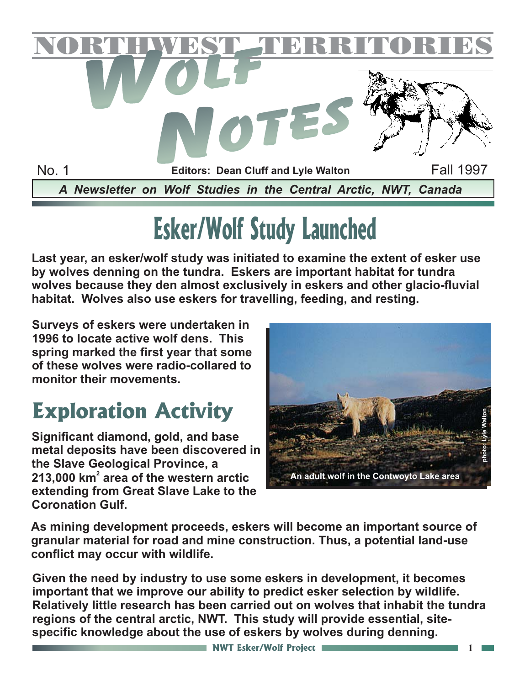

# **Esker/Wolf Study Launched**

**Last year, an esker/wolf study was initiated to examine the extent of esker use by wolves denning on the tundra. Eskers are important habitat for tundra wolves because they den almost exclusively in eskers and other glacio-fluvial habitat. Wolves also use eskers for travelling, feeding, and resting.**

**Surveys of eskers were undertaken in 1996 to locate active wolf dens. This spring marked the first year that some of these wolves were radio-collared to monitor their movements.**

## **Exploration Activity**

**Significant diamond, gold, and base metal deposits have been discovered in the Slave Geological Province, a** 213,000 km<sup>2</sup> area of the western arctic **extending from Great Slave Lake to the Coronation Gulf.**



**As mining development proceeds, eskers will become an important source of granular material for road and mine construction. Thus, a potential land-use conflict may occur with wildlife.**

**Given the need by industry to use some eskers in development, it becomes important that we improve our ability to predict esker selection by wildlife. Relatively little research has been carried out on wolves that inhabit the tundra regions of the central arctic, NWT. This study will provide essential, sitespecific knowledge about the use of eskers by wolves during denning.**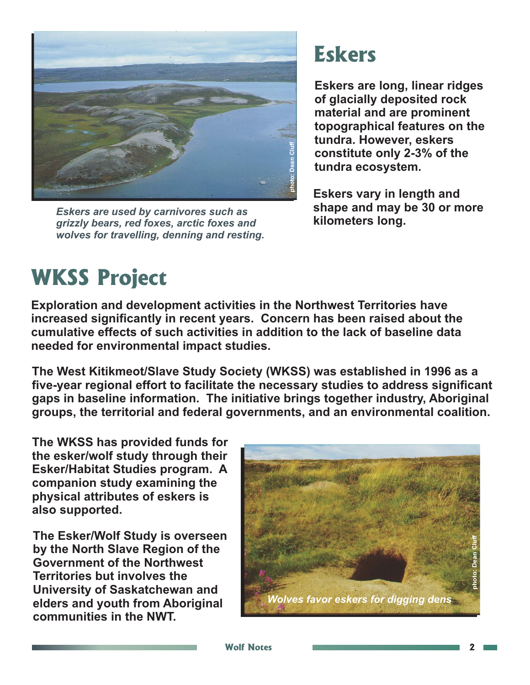

*Eskers are used by carnivores such as grizzly bears, red foxes, arctic foxes and wolves for travelling, denning and resting.*

#### **Eskers**

**Eskers are long, linear ridges of glacially deposited rock material and are prominent topographical features on the tundra. However, eskers constitute only 2-3% of the tundra ecosystem.**

**Eskers vary in length and shape and may be 30 or more kilometers long.**

## **WKSS Project**

**Exploration and development activities in the Northwest Territories have increased significantly in recent years. Concern has been raised about the cumulative effects of such activities in addition to the lack of baseline data needed for environmental impact studies.**

**The West Kitikmeot/Slave Study Society (WKSS) was established in 1996 as a five-year regional effort to facilitate the necessary studies to address significant gaps in baseline information. The initiative brings together industry, Aboriginal groups, the territorial and federal governments, and an environmental coalition.**

**The WKSS has provided funds for the esker/wolf study through their Esker/Habitat Studies program. A companion study examining the physical attributes of eskers is also supported.**

**The Esker/Wolf Study is overseen by the North Slave Region of the Government of the Northwest Territories but involves the University of Saskatchewan and elders and youth from Aboriginal communities in the NWT.**

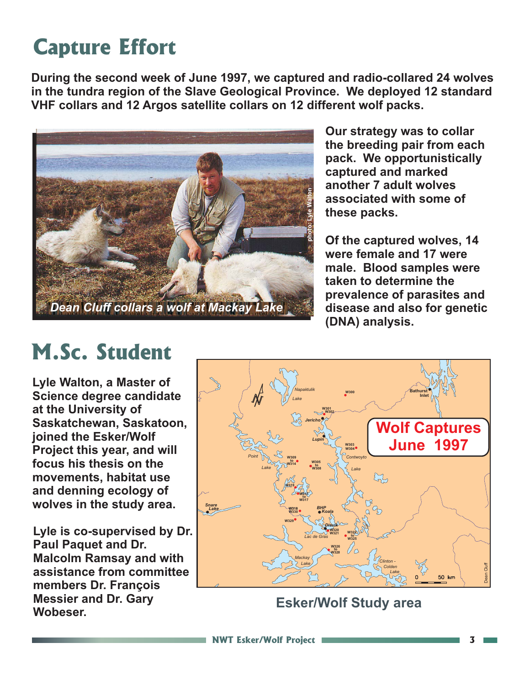## **Capture Effort**

**During the second week of June 1997, we captured and radio-collared 24 wolves in the tundra region of the Slave Geological Province. We deployed 12 standard VHF collars and 12 Argos satellite collars on 12 different wolf packs.**



**Our strategy was to collar the breeding pair from each pack. We opportunistically captured and marked another 7 adult wolves associated with some of these packs.**

**Of the captured wolves, 14 were female and 17 were male. Blood samples were taken to determine the prevalence of parasites and disease and also for genetic (DNA) analysis.**

#### **M.Sc. Student**

**Lyle Walton, a Master of Science degree candidate at the University of Saskatchewan, Saskatoon, joined the Esker/Wolf Project this year, and will focus his thesis on the movements, habitat use and denning ecology of wolves in the study area.**

**Lyle is co-supervised by Dr. Paul Paquet and Dr. Malcolm Ramsay and with assistance from committee members Dr. François Messier and Dr. Gary Wobeser.**



**Esker/Wolf Study area**